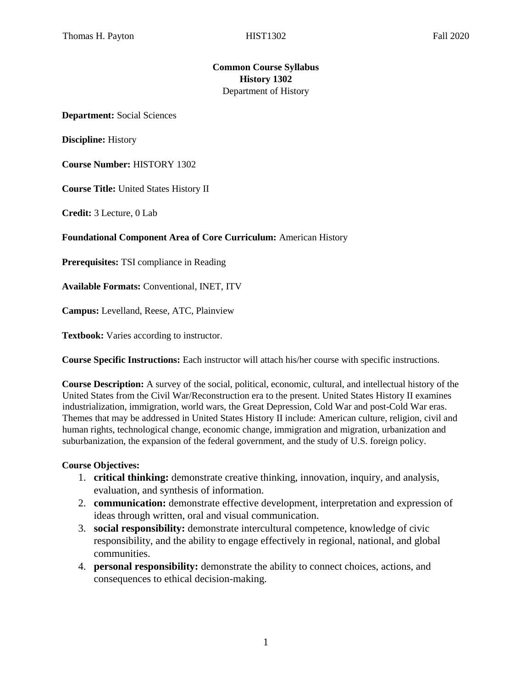## **Common Course Syllabus History 1302**  Department of History

**Department:** Social Sciences

**Discipline:** History

**Course Number:** HISTORY 1302

**Course Title:** United States History II

**Credit:** 3 Lecture, 0 Lab

**Foundational Component Area of Core Curriculum:** American History

**Prerequisites:** TSI compliance in Reading

**Available Formats:** Conventional, INET, ITV

**Campus:** Levelland, Reese, ATC, Plainview

**Textbook:** Varies according to instructor.

**Course Specific Instructions:** Each instructor will attach his/her course with specific instructions.

**Course Description:** A survey of the social, political, economic, cultural, and intellectual history of the United States from the Civil War/Reconstruction era to the present. United States History II examines industrialization, immigration, world wars, the Great Depression, Cold War and post-Cold War eras. Themes that may be addressed in United States History II include: American culture, religion, civil and human rights, technological change, economic change, immigration and migration, urbanization and suburbanization, the expansion of the federal government, and the study of U.S. foreign policy.

#### **Course Objectives:**

- 1. **critical thinking:** demonstrate creative thinking, innovation, inquiry, and analysis, evaluation, and synthesis of information.
- 2. **communication:** demonstrate effective development, interpretation and expression of ideas through written, oral and visual communication.
- 3. **social responsibility:** demonstrate intercultural competence, knowledge of civic responsibility, and the ability to engage effectively in regional, national, and global communities.
- 4. **personal responsibility:** demonstrate the ability to connect choices, actions, and consequences to ethical decision-making.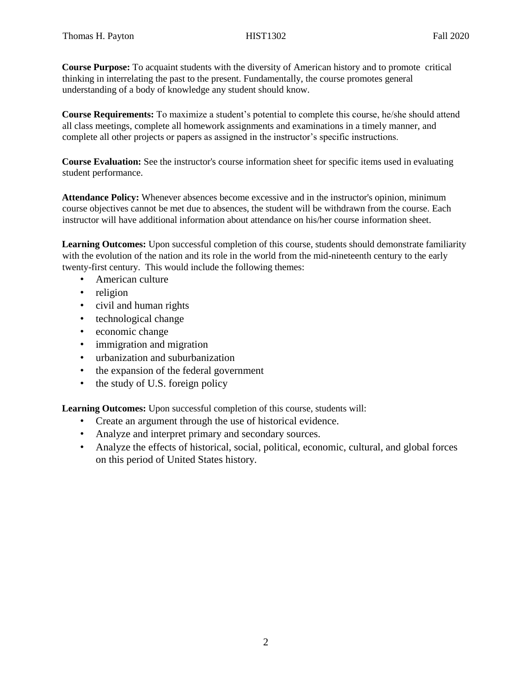**Course Purpose:** To acquaint students with the diversity of American history and to promote critical thinking in interrelating the past to the present. Fundamentally, the course promotes general understanding of a body of knowledge any student should know.

**Course Requirements:** To maximize a student's potential to complete this course, he/she should attend all class meetings, complete all homework assignments and examinations in a timely manner, and complete all other projects or papers as assigned in the instructor's specific instructions.

**Course Evaluation:** See the instructor's course information sheet for specific items used in evaluating student performance.

**Attendance Policy:** Whenever absences become excessive and in the instructor's opinion, minimum course objectives cannot be met due to absences, the student will be withdrawn from the course. Each instructor will have additional information about attendance on his/her course information sheet.

**Learning Outcomes:** Upon successful completion of this course, students should demonstrate familiarity with the evolution of the nation and its role in the world from the mid-nineteenth century to the early twenty-first century. This would include the following themes:

- American culture
- religion
- civil and human rights
- technological change
- economic change
- immigration and migration
- urbanization and suburbanization
- the expansion of the federal government
- the study of U.S. foreign policy

**Learning Outcomes:** Upon successful completion of this course, students will:

- Create an argument through the use of historical evidence.
- Analyze and interpret primary and secondary sources.
- Analyze the effects of historical, social, political, economic, cultural, and global forces on this period of United States history.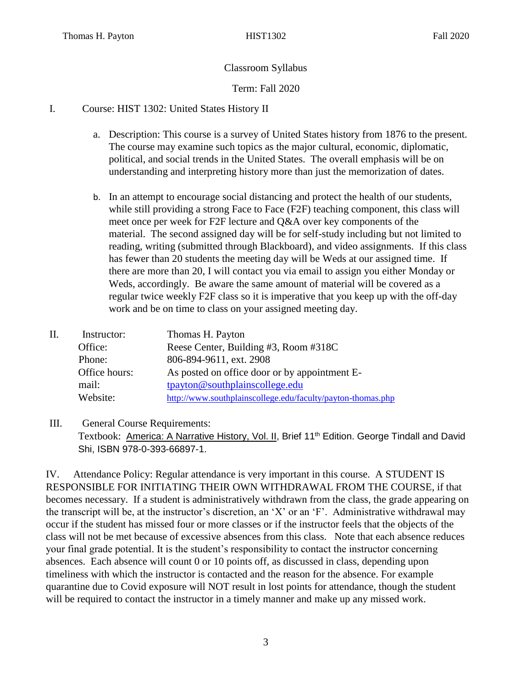# Classroom Syllabus

## Term: Fall 2020

### I. Course: HIST 1302: United States History II

- a. Description: This course is a survey of United States history from 1876 to the present. The course may examine such topics as the major cultural, economic, diplomatic, political, and social trends in the United States. The overall emphasis will be on understanding and interpreting history more than just the memorization of dates.
- b. In an attempt to encourage social distancing and protect the health of our students, while still providing a strong Face to Face (F2F) teaching component, this class will meet once per week for F2F lecture and Q&A over key components of the material. The second assigned day will be for self-study including but not limited to reading, writing (submitted through Blackboard), and video assignments. If this class has fewer than 20 students the meeting day will be Weds at our assigned time. If there are more than 20, I will contact you via email to assign you either Monday or Weds, accordingly. Be aware the same amount of material will be covered as a regular twice weekly F2F class so it is imperative that you keep up with the off-day work and be on time to class on your assigned meeting day.

| Instructor:   | Thomas H. Payton                                            |  |
|---------------|-------------------------------------------------------------|--|
| Office:       | Reese Center, Building #3, Room #318C                       |  |
| Phone:        | 806-894-9611, ext. 2908                                     |  |
| Office hours: | As posted on office door or by appointment E-               |  |
| mail:         | tpayton@southplainscollege.edu                              |  |
| Website:      | http://www.southplainscollege.edu/faculty/payton-thomas.php |  |
|               |                                                             |  |

# III. General Course Requirements: Textbook: America: A Narrative History, Vol. II, Brief 11<sup>th</sup> Edition. George Tindall and David Shi, ISBN 978-0-393-66897-1.

IV. Attendance Policy: Regular attendance is very important in this course. A STUDENT IS RESPONSIBLE FOR INITIATING THEIR OWN WITHDRAWAL FROM THE COURSE, if that becomes necessary. If a student is administratively withdrawn from the class, the grade appearing on the transcript will be, at the instructor's discretion, an 'X' or an 'F'. Administrative withdrawal may occur if the student has missed four or more classes or if the instructor feels that the objects of the class will not be met because of excessive absences from this class. Note that each absence reduces your final grade potential. It is the student's responsibility to contact the instructor concerning absences. Each absence will count 0 or 10 points off, as discussed in class, depending upon timeliness with which the instructor is contacted and the reason for the absence. For example quarantine due to Covid exposure will NOT result in lost points for attendance, though the student will be required to contact the instructor in a timely manner and make up any missed work.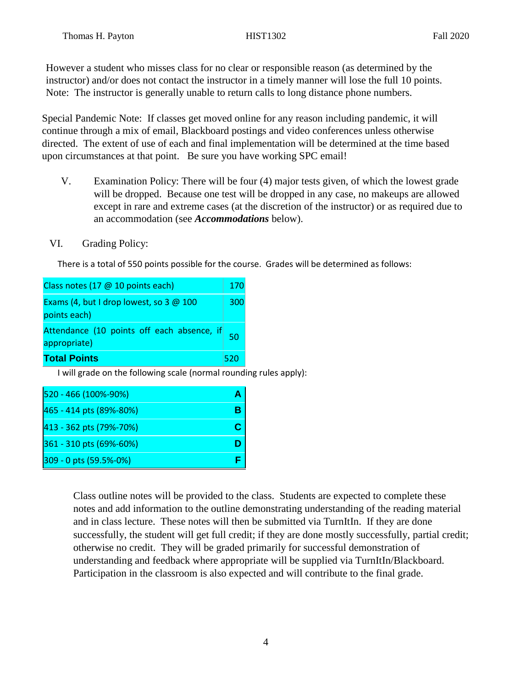However a student who misses class for no clear or responsible reason (as determined by the instructor) and/or does not contact the instructor in a timely manner will lose the full 10 points. Note: The instructor is generally unable to return calls to long distance phone numbers.

Special Pandemic Note: If classes get moved online for any reason including pandemic, it will continue through a mix of email, Blackboard postings and video conferences unless otherwise directed. The extent of use of each and final implementation will be determined at the time based upon circumstances at that point. Be sure you have working SPC email!

- V. Examination Policy: There will be four (4) major tests given, of which the lowest grade will be dropped. Because one test will be dropped in any case, no makeups are allowed except in rare and extreme cases (at the discretion of the instructor) or as required due to an accommodation (see *Accommodations* below).
- VI. Grading Policy:

There is a total of 550 points possible for the course. Grades will be determined as follows:

| Class notes (17 @ 10 points each)                             |     |  |
|---------------------------------------------------------------|-----|--|
| Exams (4, but I drop lowest, so 3 @ 100<br>points each)       |     |  |
| Attendance (10 points off each absence, if 50<br>appropriate) |     |  |
| <b>Total Points</b>                                           | 520 |  |

I will grade on the following scale (normal rounding rules apply):

| 520 - 466 (100%-90%)    |  |
|-------------------------|--|
| 465 - 414 pts (89%-80%) |  |
| 413 - 362 pts (79%-70%) |  |
| 361 - 310 pts (69%-60%) |  |
| 309 - 0 pts (59.5%-0%)  |  |

Class outline notes will be provided to the class. Students are expected to complete these notes and add information to the outline demonstrating understanding of the reading material and in class lecture. These notes will then be submitted via TurnItIn. If they are done successfully, the student will get full credit; if they are done mostly successfully, partial credit; otherwise no credit. They will be graded primarily for successful demonstration of understanding and feedback where appropriate will be supplied via TurnItIn/Blackboard. Participation in the classroom is also expected and will contribute to the final grade.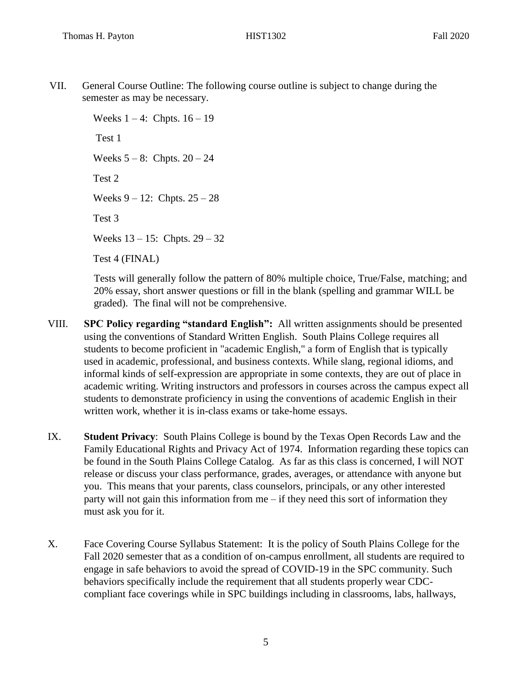VII. General Course Outline: The following course outline is subject to change during the semester as may be necessary.

> Weeks  $1 - 4$ : Chpts.  $16 - 19$ Test 1 Weeks  $5 - 8$ : Chpts.  $20 - 24$ Test 2 Weeks  $9 - 12$ : Chpts.  $25 - 28$ Test 3 Weeks 13 – 15: Chpts. 29 – 32 Test 4 (FINAL)

Tests will generally follow the pattern of 80% multiple choice, True/False, matching; and 20% essay, short answer questions or fill in the blank (spelling and grammar WILL be graded). The final will not be comprehensive.

- VIII. **SPC Policy regarding "standard English":** All written assignments should be presented using the conventions of Standard Written English. South Plains College requires all students to become proficient in "academic English," a form of English that is typically used in academic, professional, and business contexts. While slang, regional idioms, and informal kinds of self-expression are appropriate in some contexts, they are out of place in academic writing. Writing instructors and professors in courses across the campus expect all students to demonstrate proficiency in using the conventions of academic English in their written work, whether it is in-class exams or take-home essays.
- IX. **Student Privacy**: South Plains College is bound by the Texas Open Records Law and the Family Educational Rights and Privacy Act of 1974. Information regarding these topics can be found in the South Plains College Catalog. As far as this class is concerned, I will NOT release or discuss your class performance, grades, averages, or attendance with anyone but you. This means that your parents, class counselors, principals, or any other interested party will not gain this information from me – if they need this sort of information they must ask you for it.
- X. Face Covering Course Syllabus Statement: It is the policy of South Plains College for the Fall 2020 semester that as a condition of on-campus enrollment, all students are required to engage in safe behaviors to avoid the spread of COVID-19 in the SPC community. Such behaviors specifically include the requirement that all students properly wear CDCcompliant face coverings while in SPC buildings including in classrooms, labs, hallways,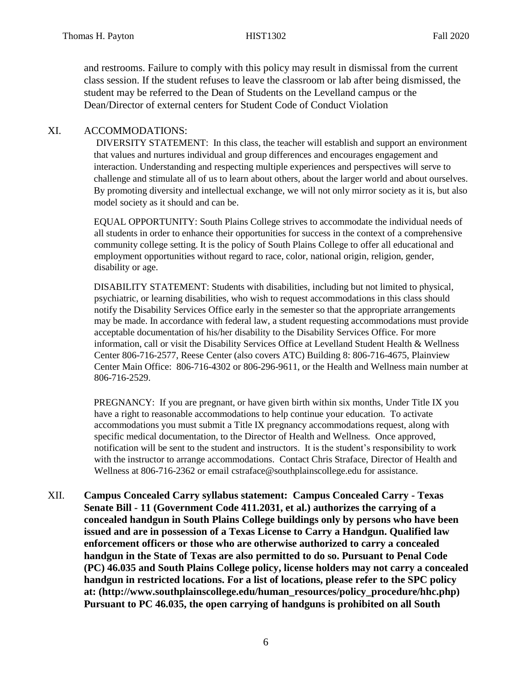and restrooms. Failure to comply with this policy may result in dismissal from the current class session. If the student refuses to leave the classroom or lab after being dismissed, the student may be referred to the Dean of Students on the Levelland campus or the Dean/Director of external centers for Student Code of Conduct Violation

### XI. ACCOMMODATIONS:

DIVERSITY STATEMENT: In this class, the teacher will establish and support an environment that values and nurtures individual and group differences and encourages engagement and interaction. Understanding and respecting multiple experiences and perspectives will serve to challenge and stimulate all of us to learn about others, about the larger world and about ourselves. By promoting diversity and intellectual exchange, we will not only mirror society as it is, but also model society as it should and can be.

EQUAL OPPORTUNITY: South Plains College strives to accommodate the individual needs of all students in order to enhance their opportunities for success in the context of a comprehensive community college setting. It is the policy of South Plains College to offer all educational and employment opportunities without regard to race, color, national origin, religion, gender, disability or age.

DISABILITY STATEMENT: Students with disabilities, including but not limited to physical, psychiatric, or learning disabilities, who wish to request accommodations in this class should notify the Disability Services Office early in the semester so that the appropriate arrangements may be made. In accordance with federal law, a student requesting accommodations must provide acceptable documentation of his/her disability to the Disability Services Office. For more information, call or visit the Disability Services Office at Levelland Student Health & Wellness Center 806-716-2577, Reese Center (also covers ATC) Building 8: 806-716-4675, Plainview Center Main Office: 806-716-4302 or 806-296-9611, or the Health and Wellness main number at 806-716-2529.

PREGNANCY: If you are pregnant, or have given birth within six months, Under Title IX you have a right to reasonable accommodations to help continue your education. To activate accommodations you must submit a Title IX pregnancy accommodations request, along with specific medical documentation, to the Director of Health and Wellness. Once approved, notification will be sent to the student and instructors. It is the student's responsibility to work with the instructor to arrange accommodations. Contact Chris Straface, Director of Health and Wellness at 806-716-2362 or email [cstraface@southplainscollege.edu](mailto:cstraface@southplainscollege.edu) for assistance.

XII. **Campus Concealed Carry syllabus statement: Campus Concealed Carry - Texas Senate Bill - 11 (Government Code 411.2031, et al.) authorizes the carrying of a concealed handgun in South Plains College buildings only by persons who have been issued and are in possession of a Texas License to Carry a Handgun. Qualified law enforcement officers or those who are otherwise authorized to carry a concealed handgun in the State of Texas are also permitted to do so. Pursuant to Penal Code (PC) 46.035 and South Plains College policy, license holders may not carry a concealed handgun in restricted locations. For a list of locations, please refer to the SPC policy at: (http://www.southplainscollege.edu/human\_resources/policy\_procedure/hhc.php) Pursuant to PC 46.035, the open carrying of handguns is prohibited on all South**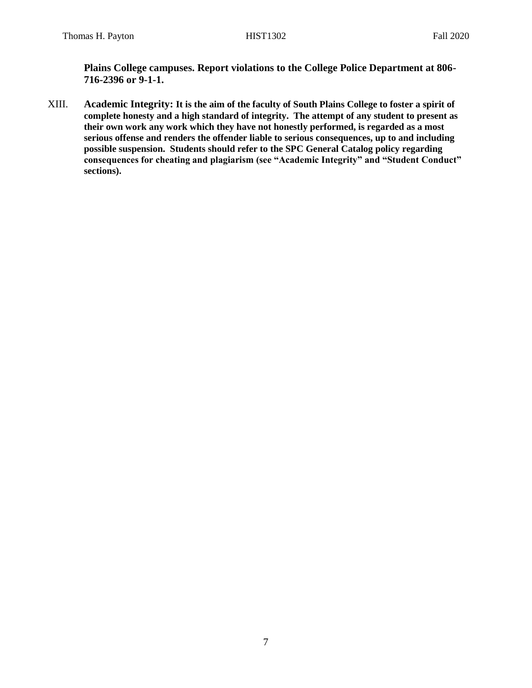**Plains College campuses. Report violations to the College Police Department at 806- 716-2396 or 9-1-1.**

XIII. **Academic Integrity: It is the aim of the faculty of South Plains College to foster a spirit of complete honesty and a high standard of integrity. The attempt of any student to present as their own work any work which they have not honestly performed, is regarded as a most serious offense and renders the offender liable to serious consequences, up to and including possible suspension. Students should refer to the SPC General Catalog policy regarding consequences for cheating and plagiarism (see "Academic Integrity" and "Student Conduct" sections).**